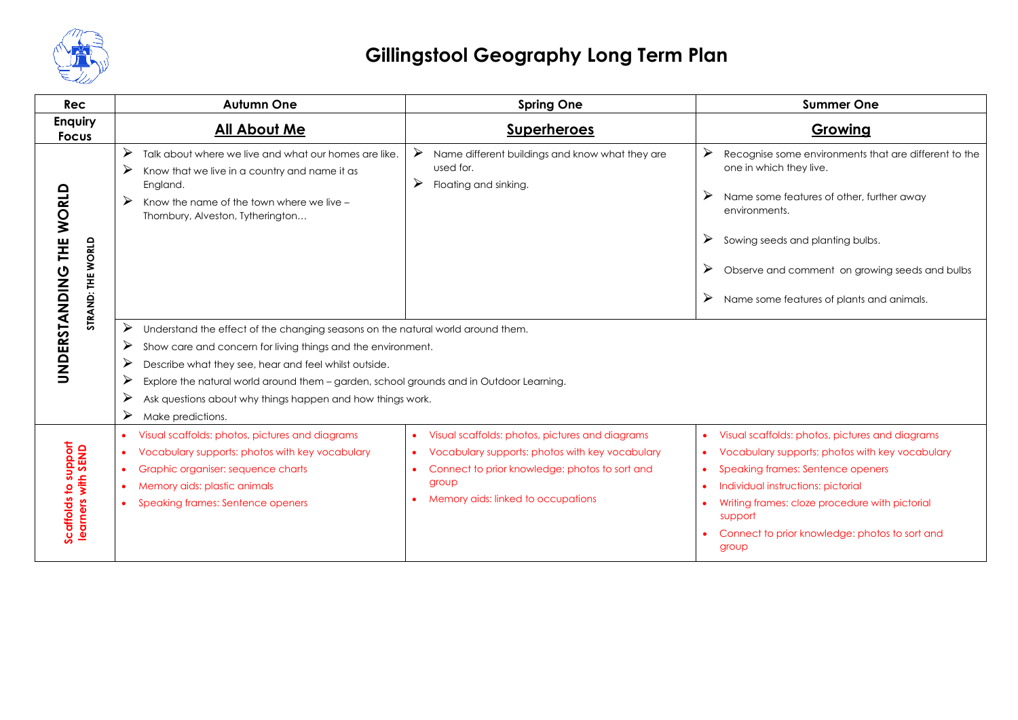

| <b>Rec</b>                                   | <b>Autumn One</b>                                                                                                                                                                                                                                                                                                                                                                                               | <b>Spring One</b>                                                                                                                                                                                   | <b>Summer One</b>                                                                                                                                                                                                                                                                                                                            |  |
|----------------------------------------------|-----------------------------------------------------------------------------------------------------------------------------------------------------------------------------------------------------------------------------------------------------------------------------------------------------------------------------------------------------------------------------------------------------------------|-----------------------------------------------------------------------------------------------------------------------------------------------------------------------------------------------------|----------------------------------------------------------------------------------------------------------------------------------------------------------------------------------------------------------------------------------------------------------------------------------------------------------------------------------------------|--|
| <b>Enquiry</b><br><b>Focus</b>               | <b>All About Me</b>                                                                                                                                                                                                                                                                                                                                                                                             | <b>Superheroes</b>                                                                                                                                                                                  | Growing                                                                                                                                                                                                                                                                                                                                      |  |
| UNDERSTANDING THE WORLD<br>STRAND: THE WORLD | ➤<br>Talk about where we live and what our homes are like.<br>➤<br>Know that we live in a country and name it as<br>England.<br>➤<br>Know the name of the town where we live -<br>Thornbury, Alveston, Tytherington                                                                                                                                                                                             | $\blacktriangleright$<br>Name different buildings and know what they are<br>used for.<br>➤<br>Floating and sinking.                                                                                 | ⋗<br>Recognise some environments that are different to the<br>one in which they live.<br>Name some features of other, further away<br>➤<br>environments.<br>➤<br>Sowing seeds and planting bulbs.<br>Observe and comment on growing seeds and bulbs<br>➤<br>Name some features of plants and animals.                                        |  |
|                                              | ➤<br>Understand the effect of the changing seasons on the natural world around them.<br>➤<br>Show care and concern for living things and the environment.<br>➤<br>Describe what they see, hear and feel whilst outside.<br>➤<br>Explore the natural world around them - garden, school grounds and in Outdoor Learning.<br>➤<br>Ask questions about why things happen and how things work.<br>Make predictions. |                                                                                                                                                                                                     |                                                                                                                                                                                                                                                                                                                                              |  |
| Scaffolds to support<br>learners with SEND   | Visual scaffolds: photos, pictures and diagrams<br>$\bullet$<br>Vocabulary supports: photos with key vocabulary<br>$\bullet$<br>Graphic organiser: sequence charts<br>٠<br>Memory aids: plastic animals<br>$\bullet$<br>Speaking frames: Sentence openers                                                                                                                                                       | Visual scaffolds: photos, pictures and diagrams<br>Vocabulary supports: photos with key vocabulary<br>Connect to prior knowledge: photos to sort and<br>group<br>Memory aids: linked to occupations | Visual scaffolds: photos, pictures and diagrams<br>$\bullet$<br>Vocabulary supports: photos with key vocabulary<br>$\bullet$<br>Speaking frames: Sentence openers<br>Individual instructions: pictorial<br>$\bullet$<br>Writing frames: cloze procedure with pictorial<br>support<br>Connect to prior knowledge: photos to sort and<br>group |  |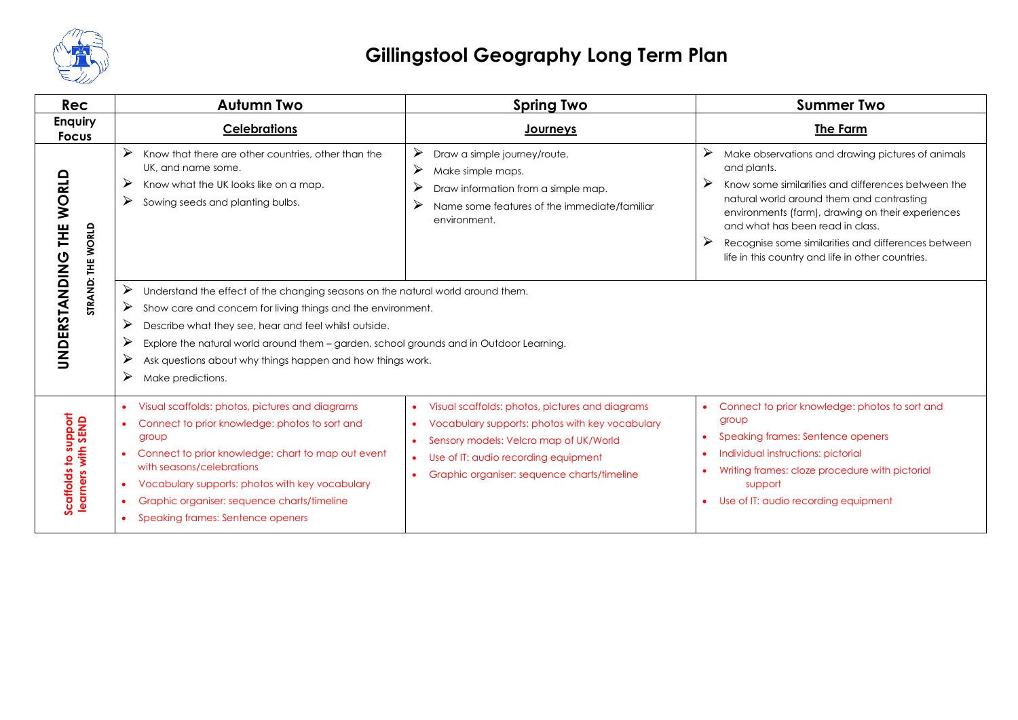

| <b>Rec</b>                                 | <b>Autumn Two</b>                                                                                                                                                                                                                                                                                                                         | <b>Spring Two</b>                                                                                                                                                                                                                                                          | <b>Summer Two</b>                                                                                                                                                                                                                                                                                                                                                                       |  |  |
|--------------------------------------------|-------------------------------------------------------------------------------------------------------------------------------------------------------------------------------------------------------------------------------------------------------------------------------------------------------------------------------------------|----------------------------------------------------------------------------------------------------------------------------------------------------------------------------------------------------------------------------------------------------------------------------|-----------------------------------------------------------------------------------------------------------------------------------------------------------------------------------------------------------------------------------------------------------------------------------------------------------------------------------------------------------------------------------------|--|--|
| <b>Enquiry</b><br><b>Focus</b>             | <b>Celebrations</b>                                                                                                                                                                                                                                                                                                                       | <b>Journeys</b>                                                                                                                                                                                                                                                            | The Farm                                                                                                                                                                                                                                                                                                                                                                                |  |  |
| THE WORLD<br>STRAND: THE WORLD             | ➤<br>Know that there are other countries, other than the<br>UK, and name some.<br>➤<br>Know what the UK looks like on a map.<br>➤<br>Sowing seeds and planting bulbs.<br>➤<br>Understand the effect of the changing seasons on the natural world around them.<br>➤                                                                        | ➤<br>Draw a simple journey/route.<br>➤<br>Make simple maps.<br>$\blacktriangleright$<br>Draw information from a simple map.<br>➤<br>Name some features of the immediate/familiar<br>environment.                                                                           | ⋗<br>Make observations and drawing pictures of animals<br>and plants.<br>➤<br>Know some similarities and differences between the<br>natural world around them and contrasting<br>environments (farm), drawing on their experiences<br>and what has been read in class.<br>➤<br>Recognise some similarities and differences between<br>life in this country and life in other countries. |  |  |
| UNDERSTANDING                              | Show care and concern for living things and the environment.<br>➤<br>Describe what they see, hear and feel whilst outside.<br>➤<br>Explore the natural world around them - garden, school grounds and in Outdoor Learning.<br>➤<br>Ask questions about why things happen and how things work.<br>➤<br>Make predictions.                   |                                                                                                                                                                                                                                                                            |                                                                                                                                                                                                                                                                                                                                                                                         |  |  |
| Scaffolds to support<br>learners with SEND | Visual scaffolds: photos, pictures and diagrams<br>Connect to prior knowledge: photos to sort and<br>group<br>Connect to prior knowledge: chart to map out event<br>with seasons/celebrations<br>Vocabulary supports: photos with key vocabulary<br>٠<br>Graphic organiser: sequence charts/timeline<br>Speaking frames: Sentence openers | Visual scaffolds: photos, pictures and diagrams<br>Vocabulary supports: photos with key vocabulary<br>Sensory models: Velcro map of UK/World<br>$\bullet$<br>Use of IT: audio recording equipment<br>$\bullet$<br>Graphic organiser: sequence charts/timeline<br>$\bullet$ | Connect to prior knowledge: photos to sort and<br>group<br>Speaking frames: Sentence openers<br>Individual instructions: pictorial<br>Writing frames: cloze procedure with pictorial<br>support<br>Use of IT: audio recording equipment                                                                                                                                                 |  |  |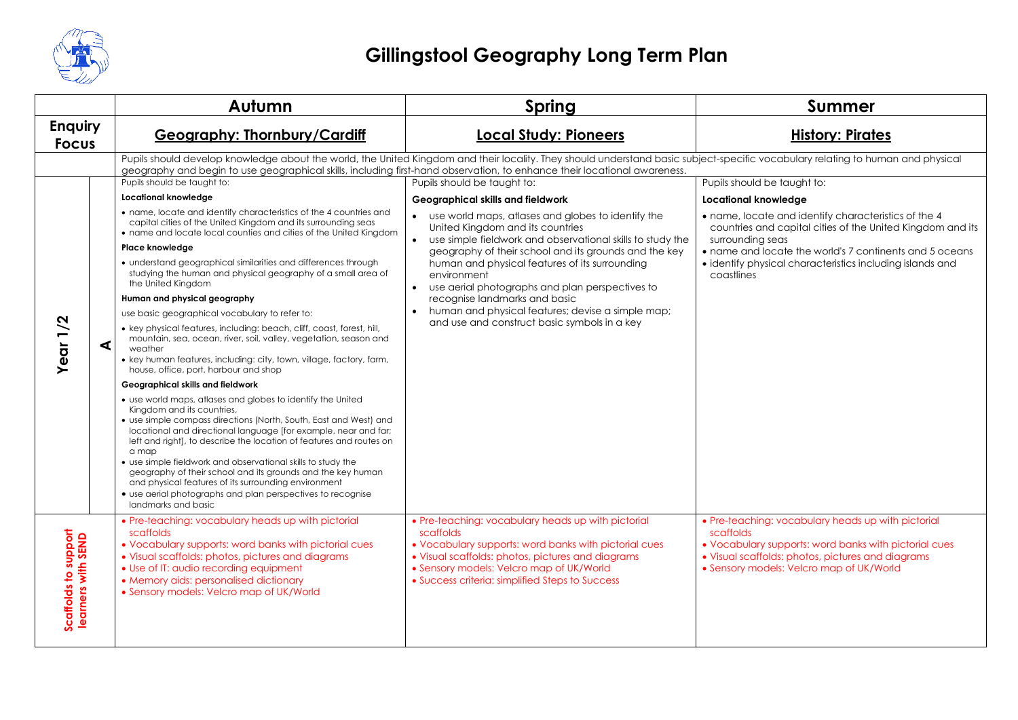

|                                            |   | Autumn                                                                                                                                                                                                                                                                                                                                                                                                                                                                                                                                                                                         | <b>Spring</b>                                                                                                                                                                                                                                                                                                                                                                                                                        | <b>Summer</b>                                                                                                                                                                                                                                                                |
|--------------------------------------------|---|------------------------------------------------------------------------------------------------------------------------------------------------------------------------------------------------------------------------------------------------------------------------------------------------------------------------------------------------------------------------------------------------------------------------------------------------------------------------------------------------------------------------------------------------------------------------------------------------|--------------------------------------------------------------------------------------------------------------------------------------------------------------------------------------------------------------------------------------------------------------------------------------------------------------------------------------------------------------------------------------------------------------------------------------|------------------------------------------------------------------------------------------------------------------------------------------------------------------------------------------------------------------------------------------------------------------------------|
| <b>Enquiry</b><br><b>Focus</b>             |   | <b>Geography: Thornbury/Cardiff</b>                                                                                                                                                                                                                                                                                                                                                                                                                                                                                                                                                            | <b>Local Study: Pioneers</b>                                                                                                                                                                                                                                                                                                                                                                                                         | <b>History: Pirates</b>                                                                                                                                                                                                                                                      |
|                                            |   | geography and begin to use geographical skills, including first-hand observation, to enhance their locational awareness.                                                                                                                                                                                                                                                                                                                                                                                                                                                                       | Pupils should develop knowledge about the world, the United Kingdom and their locality. They should understand basic subject-specific vocabulary relating to human and physical                                                                                                                                                                                                                                                      |                                                                                                                                                                                                                                                                              |
|                                            |   | Pupils should be taught to:                                                                                                                                                                                                                                                                                                                                                                                                                                                                                                                                                                    | Pupils should be taught to:                                                                                                                                                                                                                                                                                                                                                                                                          | Pupils should be taught to:                                                                                                                                                                                                                                                  |
|                                            |   | <b>Locational knowledge</b>                                                                                                                                                                                                                                                                                                                                                                                                                                                                                                                                                                    | <b>Geographical skills and fieldwork</b>                                                                                                                                                                                                                                                                                                                                                                                             | Locational knowledge                                                                                                                                                                                                                                                         |
|                                            |   | • name, locate and identify characteristics of the 4 countries and<br>capital cities of the United Kingdom and its surrounding seas<br>• name and locate local counties and cities of the United Kingdom                                                                                                                                                                                                                                                                                                                                                                                       | use world maps, atlases and globes to identify the<br>$\bullet$<br>United Kingdom and its countries<br>use simple fieldwork and observational skills to study the<br>geography of their school and its grounds and the key<br>human and physical features of its surrounding<br>environment<br>use aerial photographs and plan perspectives to<br>recognise landmarks and basic<br>human and physical features; devise a simple map; | • name, locate and identify characteristics of the 4<br>countries and capital cities of the United Kingdom and its<br>surrounding seas<br>• name and locate the world's 7 continents and 5 oceans<br>· identify physical characteristics including islands and<br>coastlines |
|                                            |   | Place knowledge                                                                                                                                                                                                                                                                                                                                                                                                                                                                                                                                                                                |                                                                                                                                                                                                                                                                                                                                                                                                                                      |                                                                                                                                                                                                                                                                              |
|                                            |   | • understand geographical similarities and differences through<br>studying the human and physical geography of a small area of<br>the United Kingdom                                                                                                                                                                                                                                                                                                                                                                                                                                           |                                                                                                                                                                                                                                                                                                                                                                                                                                      |                                                                                                                                                                                                                                                                              |
|                                            |   | Human and physical geography                                                                                                                                                                                                                                                                                                                                                                                                                                                                                                                                                                   |                                                                                                                                                                                                                                                                                                                                                                                                                                      |                                                                                                                                                                                                                                                                              |
|                                            |   | use basic geographical vocabulary to refer to:                                                                                                                                                                                                                                                                                                                                                                                                                                                                                                                                                 |                                                                                                                                                                                                                                                                                                                                                                                                                                      |                                                                                                                                                                                                                                                                              |
| Year 1/2                                   | ⋖ | • key physical features, including: beach, cliff, coast, forest, hill,<br>mountain, sea, ocean, river, soil, valley, vegetation, season and<br>weather<br>• key human features, including: city, town, village, factory, farm,<br>house, office, port, harbour and shop                                                                                                                                                                                                                                                                                                                        | and use and construct basic symbols in a key                                                                                                                                                                                                                                                                                                                                                                                         |                                                                                                                                                                                                                                                                              |
|                                            |   | Geographical skills and fieldwork                                                                                                                                                                                                                                                                                                                                                                                                                                                                                                                                                              |                                                                                                                                                                                                                                                                                                                                                                                                                                      |                                                                                                                                                                                                                                                                              |
|                                            |   | • use world maps, atlases and globes to identify the United<br>Kingdom and its countries,<br>• use simple compass directions (North, South, East and West) and<br>locational and directional language [for example, near and far;<br>left and right], to describe the location of features and routes on<br>a map<br>• use simple fieldwork and observational skills to study the<br>geography of their school and its grounds and the key human<br>and physical features of its surrounding environment<br>• use aerial photographs and plan perspectives to recognise<br>landmarks and basic |                                                                                                                                                                                                                                                                                                                                                                                                                                      |                                                                                                                                                                                                                                                                              |
| Scaffolds to support<br>learners with SEND |   | • Pre-teaching: vocabulary heads up with pictorial<br>scaffolds<br>. Vocabulary supports: word banks with pictorial cues<br>• Visual scaffolds: photos, pictures and diagrams<br>• Use of IT: audio recording equipment<br>• Memory aids: personalised dictionary<br>• Sensory models: Velcro map of UK/World                                                                                                                                                                                                                                                                                  | • Pre-teaching: vocabulary heads up with pictorial<br>scaffolds<br>. Vocabulary supports: word banks with pictorial cues<br>• Visual scaffolds: photos, pictures and diagrams<br>• Sensory models: Velcro map of UK/World<br>• Success criteria: simplified Steps to Success                                                                                                                                                         | • Pre-teaching: vocabulary heads up with pictorial<br>scaffolds<br>. Vocabulary supports: word banks with pictorial cues<br>• Visual scaffolds: photos, pictures and diagrams<br>• Sensory models: Velcro map of UK/World                                                    |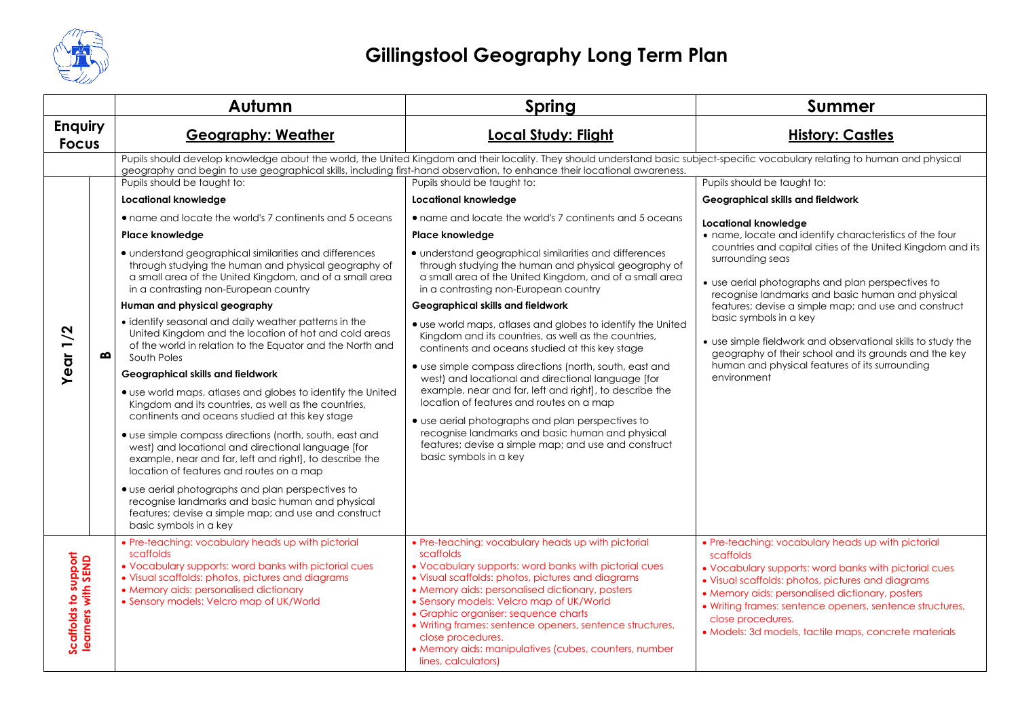

|                                            |   | Autumn                                                                                                                                                                                                                                                                                                                                                                                                                                                                                                                                                                                                                                                                                                                                                                                                                                                                                                                                                                                                                                                                                                                                                                                                                                                                                                                                                     | <b>Spring</b>                                                                                                                                                                                                                                                                                                                                                                                                                                                                                                                                                                                                                                                                                                                                                                                                                                                                                                                                                                                                                                                                                                                                                                                     | <b>Summer</b>                                                                                                                                                                                                                                                                                                                                                                                                                                                                                                                                                                                                              |
|--------------------------------------------|---|------------------------------------------------------------------------------------------------------------------------------------------------------------------------------------------------------------------------------------------------------------------------------------------------------------------------------------------------------------------------------------------------------------------------------------------------------------------------------------------------------------------------------------------------------------------------------------------------------------------------------------------------------------------------------------------------------------------------------------------------------------------------------------------------------------------------------------------------------------------------------------------------------------------------------------------------------------------------------------------------------------------------------------------------------------------------------------------------------------------------------------------------------------------------------------------------------------------------------------------------------------------------------------------------------------------------------------------------------------|---------------------------------------------------------------------------------------------------------------------------------------------------------------------------------------------------------------------------------------------------------------------------------------------------------------------------------------------------------------------------------------------------------------------------------------------------------------------------------------------------------------------------------------------------------------------------------------------------------------------------------------------------------------------------------------------------------------------------------------------------------------------------------------------------------------------------------------------------------------------------------------------------------------------------------------------------------------------------------------------------------------------------------------------------------------------------------------------------------------------------------------------------------------------------------------------------|----------------------------------------------------------------------------------------------------------------------------------------------------------------------------------------------------------------------------------------------------------------------------------------------------------------------------------------------------------------------------------------------------------------------------------------------------------------------------------------------------------------------------------------------------------------------------------------------------------------------------|
| <b>Enquiry</b><br><b>Focus</b>             |   | <b>Geography: Weather</b>                                                                                                                                                                                                                                                                                                                                                                                                                                                                                                                                                                                                                                                                                                                                                                                                                                                                                                                                                                                                                                                                                                                                                                                                                                                                                                                                  | <b>Local Study: Flight</b>                                                                                                                                                                                                                                                                                                                                                                                                                                                                                                                                                                                                                                                                                                                                                                                                                                                                                                                                                                                                                                                                                                                                                                        | <b>History: Castles</b>                                                                                                                                                                                                                                                                                                                                                                                                                                                                                                                                                                                                    |
| Year $1/2$                                 | മ | geography and begin to use geographical skills, including first-hand observation, to enhance their locational awareness.<br>Pupils should be taught to:<br><b>Locational knowledge</b><br>• name and locate the world's 7 continents and 5 oceans<br>Place knowledge<br>· understand geographical similarities and differences<br>through studying the human and physical geography of<br>a small area of the United Kingdom, and of a small area<br>in a contrasting non-European country<br>Human and physical geography<br>• identify seasonal and daily weather patterns in the<br>United Kingdom and the location of hot and cold areas<br>of the world in relation to the Equator and the North and<br>South Poles<br>Geographical skills and fieldwork<br>• use world maps, atlases and globes to identify the United<br>Kingdom and its countries, as well as the countries,<br>continents and oceans studied at this key stage<br>• use simple compass directions (north, south, east and<br>west) and locational and directional language [for<br>example, near and far, left and right], to describe the<br>location of features and routes on a map<br>• use aerial photographs and plan perspectives to<br>recognise landmarks and basic human and physical<br>features; devise a simple map; and use and construct<br>basic symbols in a key | Pupils should develop knowledge about the world, the United Kingdom and their locality. They should understand basic subject-specific vocabulary relating to human and physical<br>Pupils should be taught to:<br><b>Locational knowledge</b><br>• name and locate the world's 7 continents and 5 oceans<br><b>Place knowledge</b><br>• understand geographical similarities and differences<br>through studying the human and physical geography of<br>a small area of the United Kingdom, and of a small area<br>in a contrasting non-European country<br><b>Geographical skills and fieldwork</b><br>• use world maps, atlases and globes to identify the United<br>Kingdom and its countries, as well as the countries,<br>continents and oceans studied at this key stage<br>• use simple compass directions (north, south, east and<br>west) and locational and directional language [for<br>example, near and far, left and right], to describe the<br>location of features and routes on a map<br>• use aerial photographs and plan perspectives to<br>recognise landmarks and basic human and physical<br>features; devise a simple map; and use and construct<br>basic symbols in a key | Pupils should be taught to:<br>Geographical skills and fieldwork<br>Locational knowledge<br>• name, locate and identify characteristics of the four<br>countries and capital cities of the United Kingdom and its<br>surrounding seas<br>• use aerial photographs and plan perspectives to<br>recognise landmarks and basic human and physical<br>features; devise a simple map; and use and construct<br>basic symbols in a key<br>• use simple fieldwork and observational skills to study the<br>geography of their school and its grounds and the key<br>human and physical features of its surrounding<br>environment |
| Scaffolds to support<br>learners with SEND |   | • Pre-teaching: vocabulary heads up with pictorial<br>scaffolds<br>• Vocabulary supports: word banks with pictorial cues<br>• Visual scaffolds: photos, pictures and diagrams<br>• Memory aids: personalised dictionary<br>• Sensory models: Velcro map of UK/World                                                                                                                                                                                                                                                                                                                                                                                                                                                                                                                                                                                                                                                                                                                                                                                                                                                                                                                                                                                                                                                                                        | • Pre-teaching: vocabulary heads up with pictorial<br>scaffolds<br>• Vocabulary supports: word banks with pictorial cues<br>• Visual scaffolds: photos, pictures and diagrams<br>• Memory aids: personalised dictionary, posters<br>• Sensory models: Velcro map of UK/World<br>• Graphic organiser: sequence charts<br>• Writing frames: sentence openers, sentence structures,<br>close procedures.<br>• Memory aids: manipulatives (cubes, counters, number<br>lines, calculators)                                                                                                                                                                                                                                                                                                                                                                                                                                                                                                                                                                                                                                                                                                             | • Pre-teaching: vocabulary heads up with pictorial<br>scaffolds<br>. Vocabulary supports: word banks with pictorial cues<br>• Visual scaffolds: photos, pictures and diagrams<br>• Memory aids: personalised dictionary, posters<br>· Writing frames: sentence openers, sentence structures,<br>close procedures.<br>· Models: 3d models, tactile maps, concrete materials                                                                                                                                                                                                                                                 |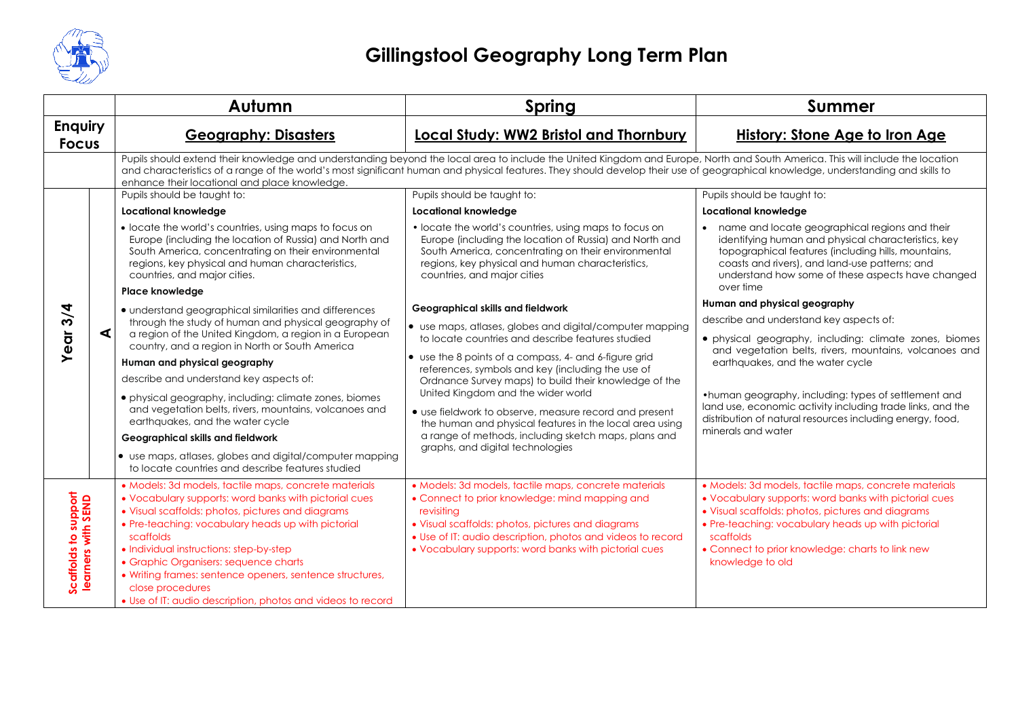

|                                            |   | Autumn                                                                                                                                                                                                                                                                                                                                                                                                                                                                    | Spring                                                                                                                                                                                                                                                                                                                                                             | Summer                                                                                                                                                                                                                                                                                                         |
|--------------------------------------------|---|---------------------------------------------------------------------------------------------------------------------------------------------------------------------------------------------------------------------------------------------------------------------------------------------------------------------------------------------------------------------------------------------------------------------------------------------------------------------------|--------------------------------------------------------------------------------------------------------------------------------------------------------------------------------------------------------------------------------------------------------------------------------------------------------------------------------------------------------------------|----------------------------------------------------------------------------------------------------------------------------------------------------------------------------------------------------------------------------------------------------------------------------------------------------------------|
| <b>Enquiry</b><br><b>Focus</b>             |   | <b>Geography: Disasters</b>                                                                                                                                                                                                                                                                                                                                                                                                                                               | <b>Local Study: WW2 Bristol and Thornbury</b>                                                                                                                                                                                                                                                                                                                      | <b>History: Stone Age to Iron Age</b>                                                                                                                                                                                                                                                                          |
|                                            |   | enhance their locational and place knowledge.                                                                                                                                                                                                                                                                                                                                                                                                                             | Pupils should extend their knowledge and understanding beyond the local area to include the United Kingdom and Europe, North and South America. This will include the location<br>and characteristics of a range of the world's most significant human and physical features. They should develop their use of geographical knowledge, understanding and skills to |                                                                                                                                                                                                                                                                                                                |
|                                            |   | Pupils should be taught to:                                                                                                                                                                                                                                                                                                                                                                                                                                               | Pupils should be taught to:                                                                                                                                                                                                                                                                                                                                        | Pupils should be taught to:                                                                                                                                                                                                                                                                                    |
|                                            |   | <b>Locational knowledge</b>                                                                                                                                                                                                                                                                                                                                                                                                                                               | <b>Locational knowledge</b>                                                                                                                                                                                                                                                                                                                                        | <b>Locational knowledge</b>                                                                                                                                                                                                                                                                                    |
|                                            |   | • locate the world's countries, using maps to focus on<br>Europe (including the location of Russia) and North and<br>South America, concentrating on their environmental<br>regions, key physical and human characteristics,<br>countries, and major cities.                                                                                                                                                                                                              | • locate the world's countries, using maps to focus on<br>Europe (including the location of Russia) and North and<br>South America, concentrating on their environmental<br>regions, key physical and human characteristics,<br>countries, and major cities                                                                                                        | • name and locate geographical regions and their<br>identifying human and physical characteristics, key<br>topographical features (including hills, mountains,<br>coasts and rivers), and land-use patterns; and<br>understand how some of these aspects have changed<br>over time                             |
|                                            |   | Place knowledge                                                                                                                                                                                                                                                                                                                                                                                                                                                           |                                                                                                                                                                                                                                                                                                                                                                    | Human and physical geography                                                                                                                                                                                                                                                                                   |
| 3/4                                        |   | • understand geographical similarities and differences<br>through the study of human and physical geography of<br>a region of the United Kingdom, a region in a European<br>country, and a region in North or South America                                                                                                                                                                                                                                               | Geographical skills and fieldwork                                                                                                                                                                                                                                                                                                                                  |                                                                                                                                                                                                                                                                                                                |
| Year                                       | ◀ |                                                                                                                                                                                                                                                                                                                                                                                                                                                                           | • use maps, atlases, globes and digital/computer mapping<br>to locate countries and describe features studied                                                                                                                                                                                                                                                      | describe and understand key aspects of:<br>• physical geography, including: climate zones, biomes<br>and vegetation belts, rivers, mountains, volcanoes and                                                                                                                                                    |
|                                            |   | Human and physical geography                                                                                                                                                                                                                                                                                                                                                                                                                                              | • use the 8 points of a compass, 4- and 6-figure grid<br>references, symbols and key (including the use of                                                                                                                                                                                                                                                         | earthquakes, and the water cycle                                                                                                                                                                                                                                                                               |
|                                            |   | describe and understand key aspects of:<br>• physical geography, including: climate zones, biomes<br>and vegetation belts, rivers, mountains, volcanoes and<br>earthquakes, and the water cycle<br>Geographical skills and fieldwork<br>• use maps, atlases, globes and digital/computer mapping<br>to locate countries and describe features studied                                                                                                                     | Ordnance Survey maps) to build their knowledge of the<br>United Kingdom and the wider world<br>• use fieldwork to observe, measure record and present<br>the human and physical features in the local area using<br>a range of methods, including sketch maps, plans and<br>graphs, and digital technologies                                                       | •human geography, including: types of settlement and<br>land use, economic activity including trade links, and the<br>distribution of natural resources including energy, food,<br>minerals and water                                                                                                          |
| Scaffolds to support<br>learners with SEND |   | · Models: 3d models, tactile maps, concrete materials<br>• Vocabulary supports: word banks with pictorial cues<br>• Visual scaffolds: photos, pictures and diagrams<br>• Pre-teaching: vocabulary heads up with pictorial<br>scaffolds<br>• Individual instructions: step-by-step<br>• Graphic Organisers: sequence charts<br>• Writing frames: sentence openers, sentence structures,<br>close procedures<br>• Use of IT: audio description, photos and videos to record | · Models: 3d models, tactile maps, concrete materials<br>• Connect to prior knowledge: mind mapping and<br>revisitina<br>• Visual scaffolds: photos, pictures and diagrams<br>• Use of IT: audio description, photos and videos to record<br>• Vocabulary supports: word banks with pictorial cues                                                                 | · Models: 3d models, tactile maps, concrete materials<br>• Vocabulary supports: word banks with pictorial cues<br>• Visual scaffolds: photos, pictures and diagrams<br>• Pre-teaching: vocabulary heads up with pictorial<br>scaffolds<br>• Connect to prior knowledge: charts to link new<br>knowledge to old |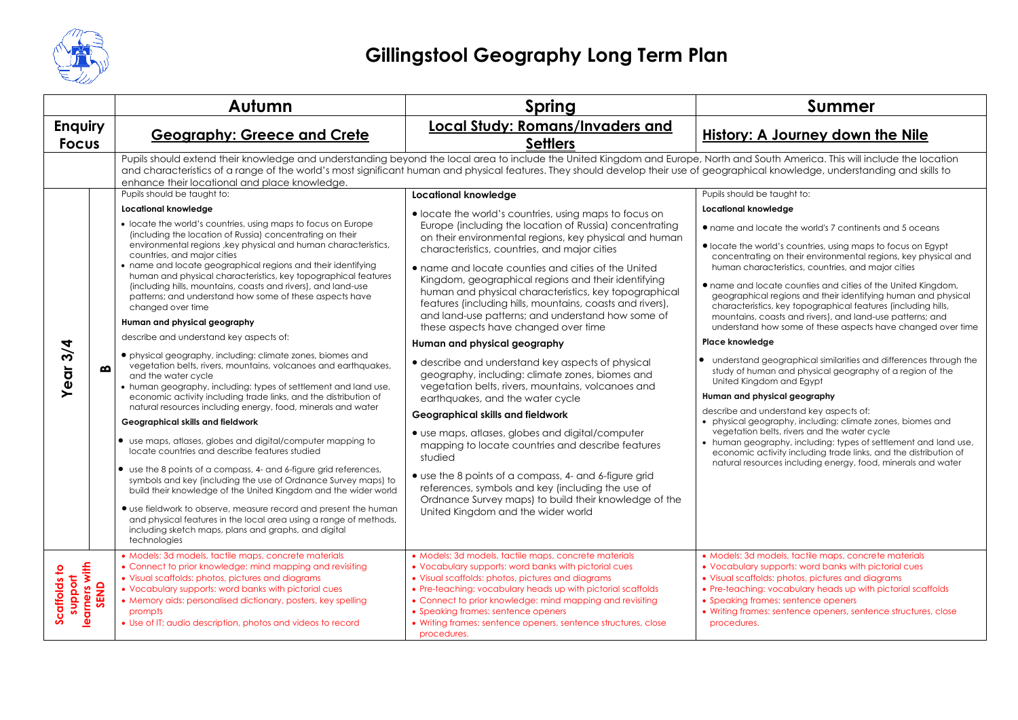

|                                                  |   | Autumn                                                                                                                                                                                                                                                                                                                                                                                                                                                                                                                                         | Spring                                                                                                                                                                                                                                                                                                                                                                                                                                                     | <b>Summer</b>                                                                                                                                                                                                                                                                                                                                                                                                                                                                                                  |
|--------------------------------------------------|---|------------------------------------------------------------------------------------------------------------------------------------------------------------------------------------------------------------------------------------------------------------------------------------------------------------------------------------------------------------------------------------------------------------------------------------------------------------------------------------------------------------------------------------------------|------------------------------------------------------------------------------------------------------------------------------------------------------------------------------------------------------------------------------------------------------------------------------------------------------------------------------------------------------------------------------------------------------------------------------------------------------------|----------------------------------------------------------------------------------------------------------------------------------------------------------------------------------------------------------------------------------------------------------------------------------------------------------------------------------------------------------------------------------------------------------------------------------------------------------------------------------------------------------------|
| <b>Enquiry</b><br><b>Focus</b>                   |   | <b>Geography: Greece and Crete</b>                                                                                                                                                                                                                                                                                                                                                                                                                                                                                                             | <b>Local Study: Romans/Invaders and</b><br><b>Settlers</b>                                                                                                                                                                                                                                                                                                                                                                                                 | <b>History: A Journey down the Nile</b>                                                                                                                                                                                                                                                                                                                                                                                                                                                                        |
|                                                  |   | Pupils should extend their knowledge and understanding beyond the local area to include the United Kingdom and Europe, North and South America. This will include the location<br>and characteristics of a range of the world's most significant human and physical features. They should develop their use of geographical knowledge, understanding and skills to<br>enhance their locational and place knowledge.                                                                                                                            |                                                                                                                                                                                                                                                                                                                                                                                                                                                            |                                                                                                                                                                                                                                                                                                                                                                                                                                                                                                                |
|                                                  |   | Pupils should be taught to:                                                                                                                                                                                                                                                                                                                                                                                                                                                                                                                    | <b>Locational knowledge</b>                                                                                                                                                                                                                                                                                                                                                                                                                                | Pupils should be taught to:                                                                                                                                                                                                                                                                                                                                                                                                                                                                                    |
|                                                  |   | Locational knowledge                                                                                                                                                                                                                                                                                                                                                                                                                                                                                                                           | • locate the world's countries, using maps to focus on                                                                                                                                                                                                                                                                                                                                                                                                     | <b>Locational knowledge</b>                                                                                                                                                                                                                                                                                                                                                                                                                                                                                    |
|                                                  |   | • locate the world's countries, using maps to focus on Europe<br>(including the location of Russia) concentrating on their<br>environmental regions, key physical and human characteristics,<br>countries, and major cities<br>• name and locate geographical regions and their identifying<br>human and physical characteristics, key topographical features<br>(including hills, mountains, coasts and rivers), and land-use<br>patterns; and understand how some of these aspects have<br>changed over time<br>Human and physical geography | Europe (including the location of Russia) concentrating<br>on their environmental regions, key physical and human<br>characteristics, countries, and major cities<br>• name and locate counties and cities of the United<br>Kingdom, geographical regions and their identifying<br>human and physical characteristics, key topographical<br>features (including hills, mountains, coasts and rivers),<br>and land-use patterns; and understand how some of | • name and locate the world's 7 continents and 5 oceans<br>• locate the world's countries, using maps to focus on Egypt<br>concentrating on their environmental regions, key physical and<br>human characteristics, countries, and major cities<br>• name and locate counties and cities of the United Kingdom,<br>geographical regions and their identifying human and physical<br>characteristics, key topographical features (including hills,<br>mountains, coasts and rivers), and land-use patterns; and |
|                                                  |   | describe and understand key aspects of:                                                                                                                                                                                                                                                                                                                                                                                                                                                                                                        | these aspects have changed over time                                                                                                                                                                                                                                                                                                                                                                                                                       | understand how some of these aspects have changed over time                                                                                                                                                                                                                                                                                                                                                                                                                                                    |
|                                                  |   |                                                                                                                                                                                                                                                                                                                                                                                                                                                                                                                                                | Human and physical geography                                                                                                                                                                                                                                                                                                                                                                                                                               | Place knowledge                                                                                                                                                                                                                                                                                                                                                                                                                                                                                                |
| 3/4<br>Year                                      | മ | • physical geography, including: climate zones, biomes and<br>vegetation belts, rivers, mountains, volcanoes and earthquakes,<br>and the water cycle<br>• human geography, including: types of settlement and land use,                                                                                                                                                                                                                                                                                                                        | • describe and understand key aspects of physical<br>geography, including: climate zones, biomes and<br>vegetation belts, rivers, mountains, volcanoes and                                                                                                                                                                                                                                                                                                 | • understand geographical similarities and differences through the<br>study of human and physical geography of a region of the<br>United Kingdom and Egypt                                                                                                                                                                                                                                                                                                                                                     |
|                                                  |   | economic activity including trade links, and the distribution of<br>natural resources including energy, food, minerals and water                                                                                                                                                                                                                                                                                                                                                                                                               | earthquakes, and the water cycle                                                                                                                                                                                                                                                                                                                                                                                                                           | Human and physical geography                                                                                                                                                                                                                                                                                                                                                                                                                                                                                   |
|                                                  |   | Geographical skills and fieldwork                                                                                                                                                                                                                                                                                                                                                                                                                                                                                                              | Geographical skills and fieldwork                                                                                                                                                                                                                                                                                                                                                                                                                          | describe and understand key aspects of:<br>• physical geography, including: climate zones, biomes and                                                                                                                                                                                                                                                                                                                                                                                                          |
|                                                  |   | • use maps, atlases, globes and digital/computer mapping to<br>locate countries and describe features studied                                                                                                                                                                                                                                                                                                                                                                                                                                  | • use maps, atlases, globes and digital/computer<br>mapping to locate countries and describe features<br>studied                                                                                                                                                                                                                                                                                                                                           | vegetation belts, rivers and the water cycle<br>• human geography, including: types of settlement and land use,<br>economic activity including trade links, and the distribution of<br>natural resources including energy, food, minerals and water                                                                                                                                                                                                                                                            |
|                                                  |   | • use the 8 points of a compass, 4- and 6-figure grid references,<br>symbols and key (including the use of Ordnance Survey maps) to<br>build their knowledge of the United Kingdom and the wider world                                                                                                                                                                                                                                                                                                                                         | • use the 8 points of a compass, 4- and 6-figure grid<br>references, symbols and key (including the use of<br>Ordnance Survey maps) to build their knowledge of the                                                                                                                                                                                                                                                                                        |                                                                                                                                                                                                                                                                                                                                                                                                                                                                                                                |
|                                                  |   | • use fieldwork to observe, measure record and present the human<br>and physical features in the local area using a range of methods,<br>including sketch maps, plans and graphs, and digital<br>technologies                                                                                                                                                                                                                                                                                                                                  | United Kingdom and the wider world                                                                                                                                                                                                                                                                                                                                                                                                                         |                                                                                                                                                                                                                                                                                                                                                                                                                                                                                                                |
| support<br>learners with<br>SEND<br>Scaffolds to |   | · Models: 3d models, tactile maps, concrete materials<br>• Connect to prior knowledge: mind mapping and revisiting<br>• Visual scaffolds: photos, pictures and diagrams<br>• Vocabulary supports: word banks with pictorial cues<br>• Memory aids: personalised dictionary, posters, key spelling<br>prompts<br>• Use of IT: audio description, photos and videos to record                                                                                                                                                                    | • Models: 3d models, tactile maps, concrete materials<br>• Vocabulary supports: word banks with pictorial cues<br>• Visual scaffolds: photos, pictures and diagrams<br>• Pre-teaching: vocabulary heads up with pictorial scaffolds<br>• Connect to prior knowledge: mind mapping and revisiting<br>• Speaking frames: sentence openers<br>• Writing frames: sentence openers, sentence structures, close<br>procedures.                                   | • Models: 3d models, tactile maps, concrete materials<br>• Vocabulary supports: word banks with pictorial cues<br>• Visual scaffolds: photos, pictures and diagrams<br>• Pre-teaching: vocabulary heads up with pictorial scaffolds<br>• Speaking frames: sentence openers<br>• Writing frames: sentence openers, sentence structures, close<br>procedures.                                                                                                                                                    |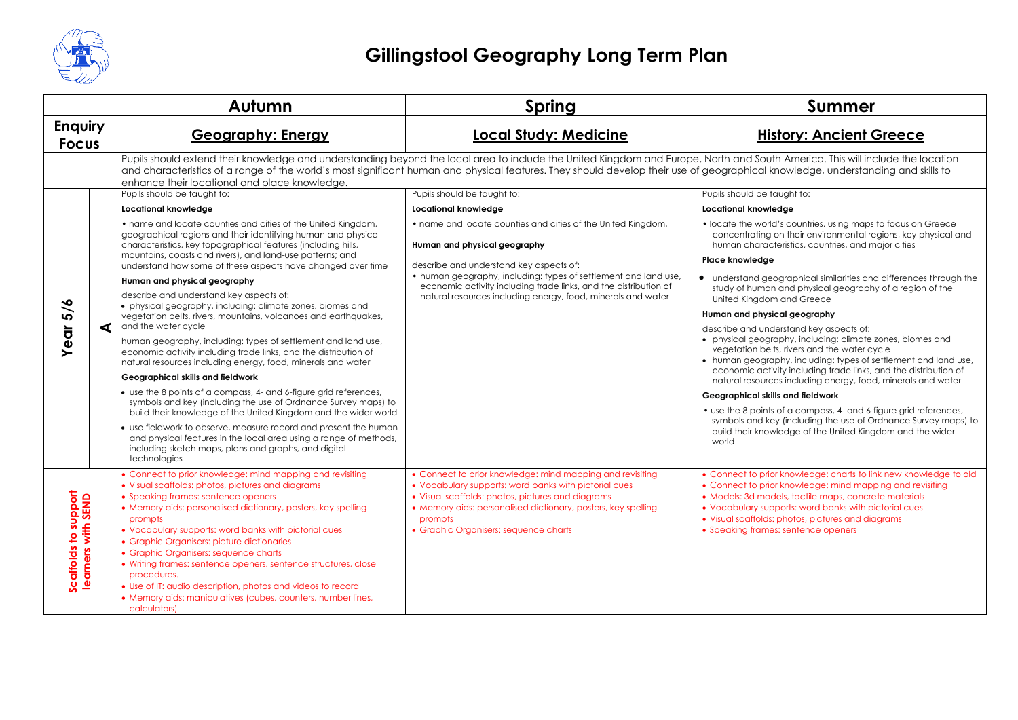

|                                        |   | Autumn                                                                                                                                                                                                                                                                                                                                                                                                                                                             | Spring                                                                                                                                                                                                                                                                                                                                                             | <b>Summer</b>                                                                                                                                                                                                                                                                                                                                |
|----------------------------------------|---|--------------------------------------------------------------------------------------------------------------------------------------------------------------------------------------------------------------------------------------------------------------------------------------------------------------------------------------------------------------------------------------------------------------------------------------------------------------------|--------------------------------------------------------------------------------------------------------------------------------------------------------------------------------------------------------------------------------------------------------------------------------------------------------------------------------------------------------------------|----------------------------------------------------------------------------------------------------------------------------------------------------------------------------------------------------------------------------------------------------------------------------------------------------------------------------------------------|
| <b>Enquiry</b><br><b>Focus</b>         |   | <b>Geography: Energy</b>                                                                                                                                                                                                                                                                                                                                                                                                                                           | <b>Local Study: Medicine</b>                                                                                                                                                                                                                                                                                                                                       | <b>History: Ancient Greece</b>                                                                                                                                                                                                                                                                                                               |
|                                        |   | enhance their locational and place knowledge.                                                                                                                                                                                                                                                                                                                                                                                                                      | Pupils should extend their knowledge and understanding beyond the local area to include the United Kingdom and Europe, North and South America. This will include the location<br>and characteristics of a range of the world's most significant human and physical features. They should develop their use of geographical knowledge, understanding and skills to |                                                                                                                                                                                                                                                                                                                                              |
|                                        |   | Pupils should be taught to:                                                                                                                                                                                                                                                                                                                                                                                                                                        | Pupils should be taught to:                                                                                                                                                                                                                                                                                                                                        | Pupils should be taught to:                                                                                                                                                                                                                                                                                                                  |
|                                        |   | <b>Locational knowledge</b>                                                                                                                                                                                                                                                                                                                                                                                                                                        | Locational knowledge                                                                                                                                                                                                                                                                                                                                               | Locational knowledge                                                                                                                                                                                                                                                                                                                         |
|                                        |   | • name and locate counties and cities of the United Kingdom,<br>geographical regions and their identifying human and physical<br>characteristics, key topographical features (including hills,                                                                                                                                                                                                                                                                     | • name and locate counties and cities of the United Kingdom,<br>Human and physical geography                                                                                                                                                                                                                                                                       | • locate the world's countries, using maps to focus on Greece<br>concentrating on their environmental regions, key physical and<br>human characteristics, countries, and major cities                                                                                                                                                        |
|                                        |   | mountains, coasts and rivers), and land-use patterns; and<br>understand how some of these aspects have changed over time                                                                                                                                                                                                                                                                                                                                           | describe and understand key aspects of:                                                                                                                                                                                                                                                                                                                            | Place knowledge                                                                                                                                                                                                                                                                                                                              |
|                                        |   | Human and physical geography                                                                                                                                                                                                                                                                                                                                                                                                                                       | • human geography, including: types of settlement and land use,<br>economic activity including trade links, and the distribution of                                                                                                                                                                                                                                | • understand geographical similarities and differences through the<br>study of human and physical geography of a region of the                                                                                                                                                                                                               |
| 5/6                                    |   | describe and understand key aspects of:<br>• physical geography, including: climate zones, biomes and                                                                                                                                                                                                                                                                                                                                                              | natural resources including energy, food, minerals and water                                                                                                                                                                                                                                                                                                       | United Kingdom and Greece                                                                                                                                                                                                                                                                                                                    |
|                                        | ◀ | vegetation belts, rivers, mountains, volcanoes and earthquakes,<br>and the water cycle                                                                                                                                                                                                                                                                                                                                                                             |                                                                                                                                                                                                                                                                                                                                                                    | Human and physical geography<br>describe and understand key aspects of:                                                                                                                                                                                                                                                                      |
| ā                                      |   | human geography, including: types of settlement and land use,<br>economic activity including trade links, and the distribution of<br>natural resources including energy, food, minerals and water                                                                                                                                                                                                                                                                  |                                                                                                                                                                                                                                                                                                                                                                    | • physical geography, including: climate zones, biomes and<br>vegetation belts, rivers and the water cycle<br>• human geography, including: types of settlement and land use,                                                                                                                                                                |
|                                        |   | Geographical skills and fieldwork                                                                                                                                                                                                                                                                                                                                                                                                                                  |                                                                                                                                                                                                                                                                                                                                                                    | economic activity including trade links, and the distribution of<br>natural resources including energy, food, minerals and water                                                                                                                                                                                                             |
|                                        |   | • use the 8 points of a compass, 4- and 6-figure grid references,<br>symbols and key (including the use of Ordnance Survey maps) to<br>build their knowledge of the United Kingdom and the wider world                                                                                                                                                                                                                                                             |                                                                                                                                                                                                                                                                                                                                                                    | Geographical skills and fieldwork<br>• use the 8 points of a compass, 4- and 6-figure grid references,                                                                                                                                                                                                                                       |
|                                        |   | • use fieldwork to observe, measure record and present the human<br>and physical features in the local area using a range of methods,<br>including sketch maps, plans and graphs, and digital<br>technologies                                                                                                                                                                                                                                                      |                                                                                                                                                                                                                                                                                                                                                                    | symbols and key (including the use of Ordnance Survey maps) to<br>build their knowledge of the United Kingdom and the wider<br>world                                                                                                                                                                                                         |
| support<br>th SEND<br>Scaffolds to sup |   | • Connect to prior knowledge: mind mapping and revisiting<br>• Visual scaffolds: photos, pictures and diagrams<br>• Speaking frames: sentence openers<br>• Memory aids: personalised dictionary, posters, key spelling<br>prompts<br>• Vocabulary supports: word banks with pictorial cues<br>• Graphic Organisers: picture dictionaries<br>• Graphic Organisers: sequence charts<br>• Writing frames: sentence openers, sentence structures, close<br>procedures. | • Connect to prior knowledge: mind mapping and revisiting<br>• Vocabulary supports: word banks with pictorial cues<br>• Visual scaffolds: photos, pictures and diagrams<br>• Memory aids: personalised dictionary, posters, key spelling<br>prompts<br>• Graphic Organisers: sequence charts                                                                       | • Connect to prior knowledge: charts to link new knowledge to old<br>• Connect to prior knowledge: mind mapping and revisiting<br>• Models: 3d models, tactile maps, concrete materials<br>• Vocabulary supports: word banks with pictorial cues<br>• Visual scaffolds: photos, pictures and diagrams<br>• Speaking frames: sentence openers |
|                                        |   | • Use of IT: audio description, photos and videos to record<br>• Memory aids: manipulatives (cubes, counters, number lines,<br>calculators)                                                                                                                                                                                                                                                                                                                        |                                                                                                                                                                                                                                                                                                                                                                    |                                                                                                                                                                                                                                                                                                                                              |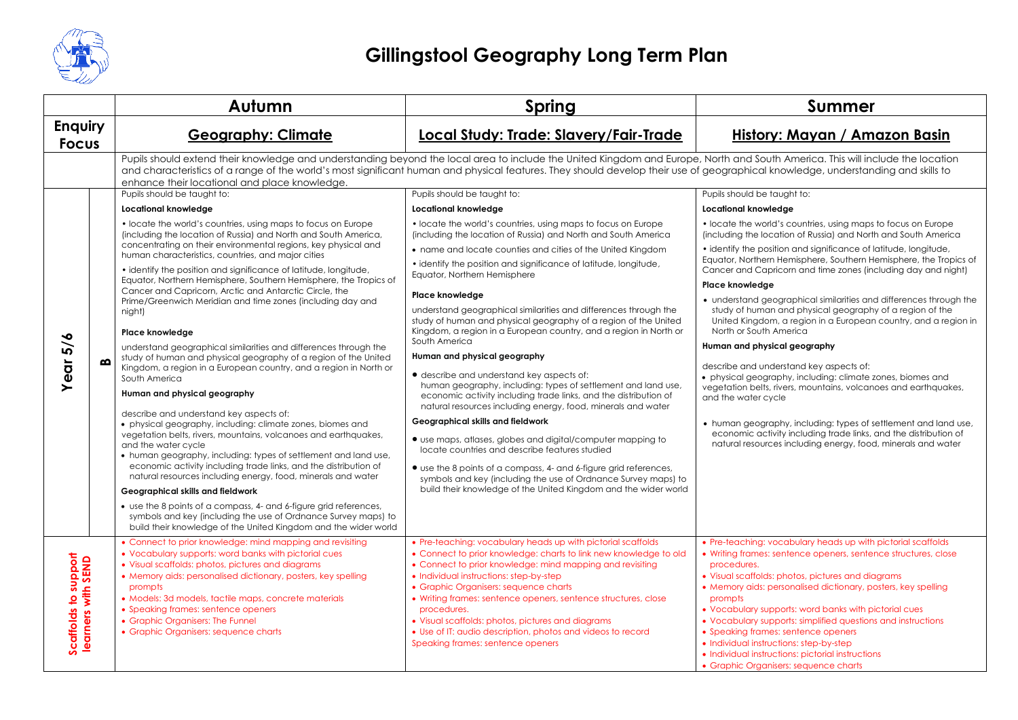

|                                                                       | Autumn                                                                                                                                                                                                                                                                                                                                                                                                                                                                                                                                                                                                                                                                                                                                                                                                                                                                                                                                                                                                                                                                                                                                                                                                                                                                                                                                                                                                                                                                                                                                                                               | <b>Spring</b>                                                                                                                                                                                                                                                                                                                                                                                                                                                                                                                                                                                                                                                                                                                                                                                                                                                                                                                                                                                                                                                                                                                                                                                                                                                                                                                                                                                                                                                                                                                                                                                                                     | <b>Summer</b>                                                                                                                                                                                                                                                                                                                                                                                                                                                                                                                                                                                                                                                                                                                                                                                                                                                                                                                                                                                                                                                                                       |
|-----------------------------------------------------------------------|--------------------------------------------------------------------------------------------------------------------------------------------------------------------------------------------------------------------------------------------------------------------------------------------------------------------------------------------------------------------------------------------------------------------------------------------------------------------------------------------------------------------------------------------------------------------------------------------------------------------------------------------------------------------------------------------------------------------------------------------------------------------------------------------------------------------------------------------------------------------------------------------------------------------------------------------------------------------------------------------------------------------------------------------------------------------------------------------------------------------------------------------------------------------------------------------------------------------------------------------------------------------------------------------------------------------------------------------------------------------------------------------------------------------------------------------------------------------------------------------------------------------------------------------------------------------------------------|-----------------------------------------------------------------------------------------------------------------------------------------------------------------------------------------------------------------------------------------------------------------------------------------------------------------------------------------------------------------------------------------------------------------------------------------------------------------------------------------------------------------------------------------------------------------------------------------------------------------------------------------------------------------------------------------------------------------------------------------------------------------------------------------------------------------------------------------------------------------------------------------------------------------------------------------------------------------------------------------------------------------------------------------------------------------------------------------------------------------------------------------------------------------------------------------------------------------------------------------------------------------------------------------------------------------------------------------------------------------------------------------------------------------------------------------------------------------------------------------------------------------------------------------------------------------------------------------------------------------------------------|-----------------------------------------------------------------------------------------------------------------------------------------------------------------------------------------------------------------------------------------------------------------------------------------------------------------------------------------------------------------------------------------------------------------------------------------------------------------------------------------------------------------------------------------------------------------------------------------------------------------------------------------------------------------------------------------------------------------------------------------------------------------------------------------------------------------------------------------------------------------------------------------------------------------------------------------------------------------------------------------------------------------------------------------------------------------------------------------------------|
| <b>Enquiry</b><br><b>Focus</b>                                        | <b>Geography: Climate</b>                                                                                                                                                                                                                                                                                                                                                                                                                                                                                                                                                                                                                                                                                                                                                                                                                                                                                                                                                                                                                                                                                                                                                                                                                                                                                                                                                                                                                                                                                                                                                            | Local Study: Trade: Slavery/Fair-Trade                                                                                                                                                                                                                                                                                                                                                                                                                                                                                                                                                                                                                                                                                                                                                                                                                                                                                                                                                                                                                                                                                                                                                                                                                                                                                                                                                                                                                                                                                                                                                                                            | History: Mayan / Amazon Basin                                                                                                                                                                                                                                                                                                                                                                                                                                                                                                                                                                                                                                                                                                                                                                                                                                                                                                                                                                                                                                                                       |
| Year 5/6<br>മ                                                         | enhance their locational and place knowledge.<br>Pupils should be taught to:<br>Locational knowledge<br>• locate the world's countries, using maps to focus on Europe<br>(including the location of Russia) and North and South America,<br>concentrating on their environmental regions, key physical and<br>human characteristics, countries, and major cities<br>• identify the position and significance of latitude, longitude,<br>Equator, Northern Hemisphere, Southern Hemisphere, the Tropics of<br>Cancer and Capricorn, Arctic and Antarctic Circle, the<br>Prime/Greenwich Meridian and time zones (including day and<br>night)<br>Place knowledge<br>understand geographical similarities and differences through the<br>study of human and physical geography of a region of the United<br>Kingdom, a region in a European country, and a region in North or<br>South America<br>Human and physical geography<br>describe and understand key aspects of:<br>• physical geography, including: climate zones, biomes and<br>vegetation belts, rivers, mountains, volcanoes and earthquakes,<br>and the water cycle<br>• human geography, including: types of settlement and land use,<br>economic activity including trade links, and the distribution of<br>natural resources including energy, food, minerals and water<br>Geographical skills and fieldwork<br>• use the 8 points of a compass, 4- and 6-figure grid references,<br>symbols and key (including the use of Ordnance Survey maps) to<br>build their knowledge of the United Kingdom and the wider world | Pupils should extend their knowledge and understanding beyond the local area to include the United Kingdom and Europe, North and South America. This will include the location<br>and characteristics of a range of the world's most significant human and physical features. They should develop their use of geographical knowledge, understanding and skills to<br>Pupils should be taught to:<br>Locational knowledge<br>• locate the world's countries, using maps to focus on Europe<br>(including the location of Russia) and North and South America<br>• name and locate counties and cities of the United Kingdom<br>• identify the position and significance of latitude, longitude,<br>Equator, Northern Hemisphere<br>Place knowledge<br>understand geographical similarities and differences through the<br>study of human and physical geography of a region of the United<br>Kingdom, a region in a European country, and a region in North or<br>South America<br>Human and physical geography<br>• describe and understand key aspects of:<br>human geography, including: types of settlement and land use,<br>economic activity including trade links, and the distribution of<br>natural resources including energy, food, minerals and water<br>Geographical skills and fieldwork<br>• use maps, atlases, globes and digital/computer mapping to<br>locate countries and describe features studied<br>• use the 8 points of a compass, 4- and 6-figure grid references,<br>symbols and key (including the use of Ordnance Survey maps) to<br>build their knowledge of the United Kingdom and the wider world | Pupils should be taught to:<br><b>Locational knowledge</b><br>• locate the world's countries, using maps to focus on Europe<br>(including the location of Russia) and North and South America<br>• identify the position and significance of latitude, longitude,<br>Equator, Northern Hemisphere, Southern Hemisphere, the Tropics of<br>Cancer and Capricorn and time zones (including day and night)<br>Place knowledge<br>• understand geographical similarities and differences through the<br>study of human and physical geography of a region of the<br>United Kingdom, a region in a European country, and a region in<br>North or South America<br>Human and physical geography<br>describe and understand key aspects of:<br>• physical geography, including: climate zones, biomes and<br>vegetation belts, rivers, mountains, volcanoes and earthquakes,<br>and the water cycle<br>• human geography, including: types of settlement and land use,<br>economic activity including trade links, and the distribution of<br>natural resources including energy, food, minerals and water |
| support<br>learners with SEND<br>$\overline{\mathbf{c}}$<br>Scaffolds | • Connect to prior knowledge: mind mapping and revisiting<br>• Vocabulary supports: word banks with pictorial cues<br>• Visual scaffolds: photos, pictures and diagrams<br>• Memory aids: personalised dictionary, posters, key spelling<br>prompts<br>· Models: 3d models, tactile maps, concrete materials<br>• Speaking frames: sentence openers<br>• Graphic Organisers: The Funnel<br>• Graphic Organisers: sequence charts                                                                                                                                                                                                                                                                                                                                                                                                                                                                                                                                                                                                                                                                                                                                                                                                                                                                                                                                                                                                                                                                                                                                                     | • Pre-teaching: vocabulary heads up with pictorial scaffolds<br>• Connect to prior knowledge: charts to link new knowledge to old<br>• Connect to prior knowledge: mind mapping and revisiting<br>• Individual instructions: step-by-step<br>• Graphic Organisers: sequence charts<br>• Writing frames: sentence openers, sentence structures, close<br>procedures.<br>• Visual scaffolds: photos, pictures and diagrams<br>• Use of IT: audio description, photos and videos to record<br>Speaking frames: sentence openers                                                                                                                                                                                                                                                                                                                                                                                                                                                                                                                                                                                                                                                                                                                                                                                                                                                                                                                                                                                                                                                                                                      | • Pre-teaching: vocabulary heads up with pictorial scaffolds<br>• Writing frames: sentence openers, sentence structures, close<br>procedures.<br>• Visual scaffolds: photos, pictures and diagrams<br>• Memory aids: personalised dictionary, posters, key spelling<br>prompts<br>• Vocabulary supports: word banks with pictorial cues<br>• Vocabulary supports: simplified questions and instructions<br>• Speaking frames: sentence openers<br>• Individual instructions: step-by-step<br>• Individual instructions: pictorial instructions<br>• Graphic Organisers: sequence charts                                                                                                                                                                                                                                                                                                                                                                                                                                                                                                             |